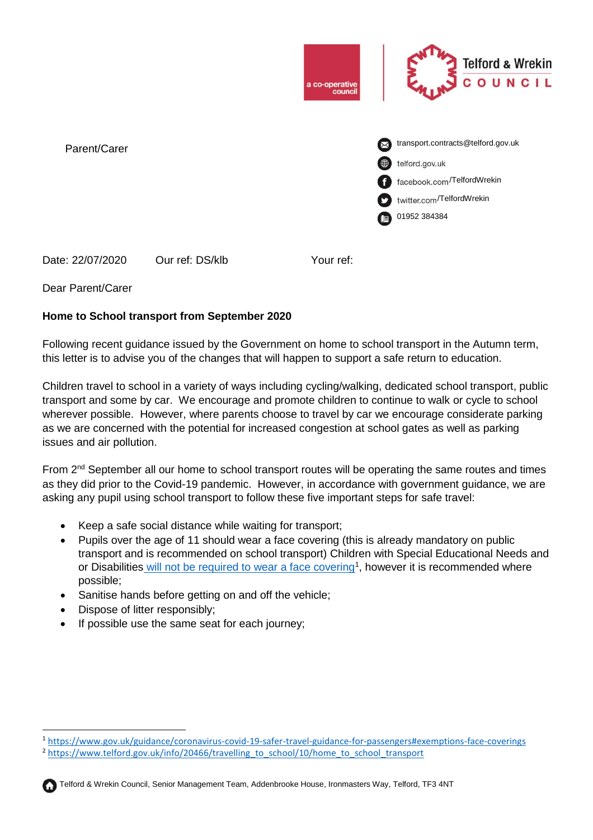

Date: 22/07/2020 Our ref: DS/klb Your ref:

## Dear Parent/Carer

## **Home to School transport from September 2020**

Following recent guidance issued by the Government on home to school transport in the Autumn term, this letter is to advise you of the changes that will happen to support a safe return to education.

Children travel to school in a variety of ways including cycling/walking, dedicated school transport, public transport and some by car. We encourage and promote children to continue to walk or cycle to school wherever possible. However, where parents choose to travel by car we encourage considerate parking as we are concerned with the potential for increased congestion at school gates as well as parking issues and air pollution.

From  $2<sup>nd</sup>$  September all our home to school transport routes will be operating the same routes and times as they did prior to the Covid-19 pandemic. However, in accordance with government guidance, we are asking any pupil using school transport to follow these five important steps for safe travel:

- Keep a safe social distance while waiting for transport;
- Pupils over the age of 11 should wear a face covering (this is already mandatory on public transport and is recommended on school transport) Children with Special Educational Needs and or Disabilities [will not be required to wear a face covering](https://www.gov.uk/guidance/coronavirus-covid-19-safer-travel-guidance-for-passengers#exemptions-face-coverings)<sup>1</sup>, however it is recommended where possible;
- Sanitise hands before getting on and off the vehicle;
- Dispose of litter responsibly;
- If possible use the same seat for each journey;



 $\overline{a}$ 

<sup>1</sup> <https://www.gov.uk/guidance/coronavirus-covid-19-safer-travel-guidance-for-passengers#exemptions-face-coverings>

<sup>&</sup>lt;sup>2</sup> [https://www.telford.gov.uk/info/20466/travelling\\_to\\_school/10/home\\_to\\_school\\_transport](https://www.telford.gov.uk/info/20466/travelling_to_school/10/home_to_school_transport)